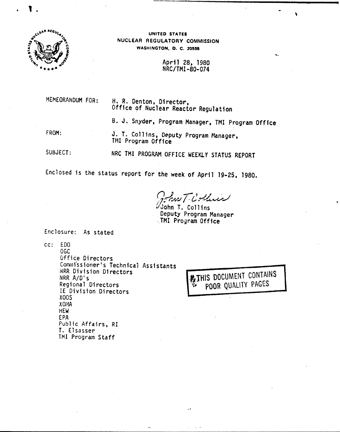



UNITED STATES NUCLEAR REGULATORY COMMISSION WASHINGTON, D. C. 20555

> April 28, 1980 NRC/TMI-80-074

M£MEORANDUM FOR:

H. R. Denton, Director, Office of Nuclear Reactor Regulation

B. J. Snyder, Program Manager, TMI Program Office

FROM:

J. T. Collins, Deputy Program Manager, TMI Program Office

SUBJECT:

NRC TMI PROGRAM OFFICE WEEKLY STATUS REPORT

Enclosed is the status report for the week of April 19-25, 1980.

*9;.1.-1/.1 ri~~J*

 $\%$ John T. Collins Deputy Program Manager .TMI Program Office

Enclosure: As stated

cc: EDO

OGe *Office Directors* Commissioner's Technical Assistants NRR Division Directors NRR A/D's Regional Directors IE Division Directors XOOS XOI1A HEW EPA Public Affairs. RI T. Elsasser TMI Program Staff

-<br>3<br>3 **卷THIS DOCUMENT CONTAINS** POOR QUALITY PAGES

.•..

,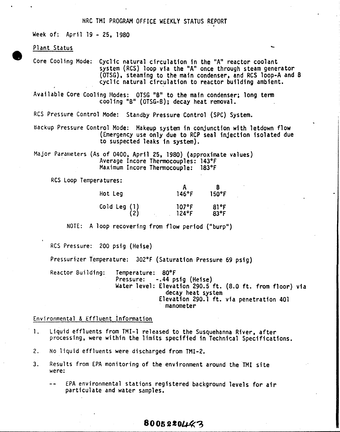### NRC TMI PROGRAM OFFICE WEEKLY STATUS REPORT

Week of: April 19 - 25, 1980

Plant Status

Core Cooling Mode: Cyclic natural circulation in the "A" reactor coolant system (RCS) loop via the "A" once through steam generator (OTSG), steaming to the main condenser, and RCS loop-A and B cyclic natural circulation to reactor building ambient.

Available Core Cooling Modes: OTSG "B" to the main condenser; long term cool ing "B" (OTSG-B); decay heat removal.

RCS Pressure Control Mode: Standby Pressure Control (SPC) System.

Backup Pressure Control Mode: Makeup system in conjunction with letdown flow (Emergency use only due to RCP seal injection isolated due to suspected leaks in system).

Major Parameters (As of 0400. April 25, 1980) (approximate values) Average Incore Thermocouples: 143°F Maximum Incore Thermocouple: 183°F

RCS Loop Temperatures:

| Hot Leg               | 146°F                | $150^{\circ}$ F        |
|-----------------------|----------------------|------------------------|
| Cold Leg $(1)$<br>(2) | $107$ °F<br>$124$ °F | 81°F<br>$83^{\circ}$ F |

NOTE: A loop recovering from flow period ("burp")

RCS Pressure: 200 psig (Heise)

Pressuri'zer Temperature: 302°F (Saturation Pressure 69 psig)

Reactor Building: Temperature: 80°F -.44 psig (Heise) Water level: Elevation 290.5 ft. (8.0 ft. from floor) via decay heat system Elevation 290.1 ft. via penetration 401 manometer

#### Environmental & Effluent Information

- 1. Liquid effluents from TM!-l released to the Susquehanna River, after processing, were within the limits specified in Technical Specifications.
- 2. No liquid effluents were discharged from TMI-2.
- 3. Results from EPA monitoring of the environment around the TMI site were:
	- EPA environmental stations registered background levels for air  $-$ particulate and water samples.

8005220443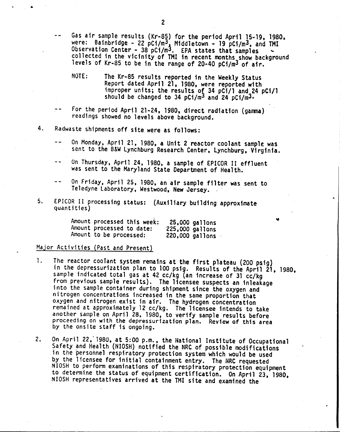- Gas air sample results (Kr-85) for the period April 15-19, 1980, were: Bainbridge - 22 pCi/m<sup>3</sup>, Middletown - 19 pCi/m<sup>3</sup>, and TMI<br>Observation Content - 20 201/m<sup>3</sup> Observation Center - 38 pCi/m<sup>3</sup>. EPA states that samples  $\sim$ collected in the vicinity of TMI in recent months show background levels of Kr-85 to be in the range of 20-40 pCi/m3 of air.
- NOTE: The Kr-85 results reported in the Weekly Status Report dated April 21, 1980, were reported with improper units; the results of 34 pCi/1 and 24 pCi/1 should be changed to 34  $pC_1/m^3$  and 24  $pC_1/m^3$ .
- For the period April 21-24, 1980, direct radiation (gamma) readings showed no levels above background.
- 4. Radwaste shipments off site were as follows:
	- On Monday, April 21, 1980, a Unit 2 reactor coolant sample was sent to the B&W Lynchburg Research Center, Lynchburg, Virginia.
	- On Thursday, April 24, 1980, a sample of EPICOR II effluent was sent to the Maryland State Department of Health.
	- On Friday, April 25, 1980, an air sample filter was sent to Teledyne Laboratory, Westwood, New Jersey. .
- 5. EPICOR II processing status: (Auxiliary building approximate quant ities)

| Amount processed this week: | 25,000 gallons  |
|-----------------------------|-----------------|
| Amount processed to date:   | 225,000 gallons |
| Amount to be processed:     | 220,000 gallons |

# Major Activities (Past and Present}

- 1. The reactor coolant system remains at the first plateau (200 psig) in the depressurization plan to 100 psig. Results of the April 21, 1980, sample indicated total gas at 42 cc/kg (an increase of 31 cc/kg from previous sample results). The licensee suspects an inleakage into the sample container during shipment since the oxygen and nitrogen concentrations increased in the same proportion that oxygen and nitrogen exist in air. The hydrogen concentratio remained at approximately 12 cc/kg. The licensee intends to take another sample on April 28, 1980, to verify sample results before proceeding on with the depressurization plan. Review of this area by the onsite staff is ongoing.
- 2. On April 22, 1980, at 5:00 p.m., the Hational Institute of Occupational Safety and Health (NIOSH) notified the NRC of possible modifications in the personnel respiratory protection system which would be used by the licensee for initial containment entry. The HRC requested NIOSH to perform examinations of this respiratory protection equipment to determine the status of equipment certification. On April 23, 1980, NIOSH representatives arrived at the 1MI site and examined the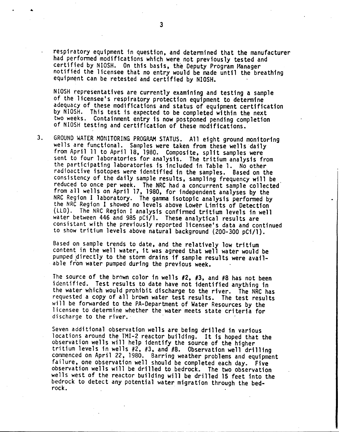respiratory equipment in question, and determined that the manufacturer had performed modifications which were not previously tested and certified by NIOSH. On this basis, the Deputy Program Hanager notified the licensee that no entry would be made until the breathing equipment can be retested and certified by NIOSH.

NIOSH representatives are currently examining and testing a sample of the licensee's respiratory protection equipment to determine adequacy of these modifications and status of equipment certification by NIOSH. This test is expected to be completed within the next two weeks. Containment entry is now postponed pending completion of NIOSH testing and certification of these modifications.

3. GROUND WATER MONITORING PROGRAM STATUS. All eight ground monitoring wells are functional. Samples were taken from these wells daily from April 11 to April 18, 1980. Composite, split samples were sent to four laboratories for analysis. The tritium analysis from the participating laboratories is included in Table 1. No other radioactive isotopes were identified in the samples. Based on the consistency of the daily sample results, sampling frequency will be reduced to once per week. The NRC had a concurrent sample collected from all wells on April 17, 1980, for independent analyses by the NRC Region I laboratory. The gamma isotopic analysis performed by the NRC Region I showed no levels above Lower Limits of Detection (LLD). The NRC Region I analysis confirmed tritium levels in well water between 446 and 985 pCi/l. These analytical results are consistant with the previously reported licensee's data and continued to show tritium levels above natural background (200-300 pCi/l).

Based on sample trends to date, and the relatively low tritium content in the well water, it was agreed that well water would be pumped directly to the storm drains if sample results were available fr'om water pumped during the previous week. .

The source of the brown color in wells #2, #3, and #8 has not been identified. Test results to date have not identified anything in the water which would prohibit discharge to the river. The NRC has requested a copy of all brown water test results. The test results will be forwarded to the PA-Department of Water Resources by the licensee to determine whether the water meets state criteria for discharge to the river.

Seven additional observation wells are being drilled in various locations around the TMI-2 reactor building. It is hoped that the observation wells will help identify the source of the higher tritium levels in wells #2, #3, and #8. Observation well drilling commenced on April 22, 1980. Barring weather problems and equipment failure, one observation well should be completed each day. Five observation wells will be drilled to bedrock. The two observation wells west of the reactor building will be drilled 15 feet into the bedrock to detect any potential water migration through the bedrock.

.•.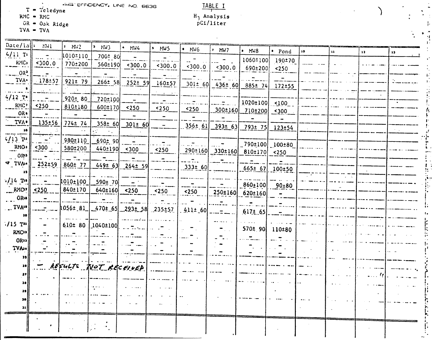$T = T^{c1}$ eledyne

 $OR = Oak Ridge$ <br>TVA = TVA

| Date/la $\left\{ \cdot \right\}$ MV1   |               | $-1$ MW2            | D.<br>NW                                                                            | $\bullet$ MW4               | $$\mu$                                     | $\bullet$ MW6             |                          |                                                              |                           |    |               |                 |              |
|----------------------------------------|---------------|---------------------|-------------------------------------------------------------------------------------|-----------------------------|--------------------------------------------|---------------------------|--------------------------|--------------------------------------------------------------|---------------------------|----|---------------|-----------------|--------------|
| $4/11$ T <sub>1</sub>                  | $\sim 100$    | 1010=110            | $700 - 80$                                                                          |                             |                                            |                           | $^{\prime}$ MW7          | $·$ MW8                                                      | · Pond                    | 10 | $\mathbf{12}$ | $\overline{12}$ | $\mathbf{1}$ |
| $\mathbb{R}^{\mathcal{N}(\mathbb{C})}$ | 300.0         | 770±200             |                                                                                     | $560 \pm 190$ < 300.0       | $300.0$                                    |                           |                          | 1060±100                                                     | 190±70                    |    |               |                 |              |
| $ OR3$                                 |               |                     |                                                                                     |                             |                                            | $\leq 300.0$              | $\{300.0\}$              | 690±200                                                      | $250$                     |    |               |                 |              |
| $\overline{Y}$ TVA $\overline{Y}$      | $-178-57$     | 921±79              | $266 \pm 58$                                                                        | $252 \pm 59$                | 160±57                                     |                           |                          |                                                              | $\mathbf{L}$              |    |               |                 |              |
|                                        |               |                     |                                                                                     |                             |                                            |                           |                          | $301 \pm 60$ 436± 60 885± 74 172±55                          |                           |    |               |                 |              |
| $4/12$ T <sup>o</sup>                  | $\mathbf{r}$  | $920 \pm 80$        | 720±100                                                                             | $\blacksquare$              |                                            |                           |                          |                                                              |                           |    |               |                 |              |
| RMC                                    | $250$         | 810±180             | 600±170                                                                             | $\frac{250}{250}$           | .<br>$250$                                 |                           |                          | $1020 \pm 100$ <100                                          |                           |    |               |                 |              |
| OR.                                    |               | $\sim$ $-$          | $\blacksquare$                                                                      | $\overline{\phantom{a}}$    |                                            | $\leq$ 250                |                          | $300\pm160$ 710±200 <300                                     |                           |    |               |                 |              |
| $TV\Lambda^*$                          | $135 \pm 56$  | $774 \pm 74$        | 358±60                                                                              | $-301$ ± 60                 | $\sim$ $-$                                 |                           |                          |                                                              |                           |    |               |                 |              |
| 10                                     |               |                     |                                                                                     |                             |                                            | $356 \pm 61$              |                          | <u> 393± 63 793± 75 123±54</u>                               |                           |    |               |                 |              |
| $\frac{1}{4/13}$ n                     | a di Tan      | 980±110             | 690±90                                                                              | $\mathbf{r}$                |                                            |                           |                          |                                                              |                           |    |               |                 |              |
|                                        |               | 580±200             | 440±190                                                                             | $300$                       | $250$                                      | المتحدث                   |                          | $\left  \begin{array}{cc} 0.790 \pm 100 \end{array} \right $ |                           |    |               |                 |              |
| .0R <sup>3</sup>                       |               |                     |                                                                                     |                             | $\sim$ $ -$                                |                           |                          | $290\pm160$ $330\pm160$ $810\pm170$ <250                     |                           |    |               |                 |              |
| $\sigma$ IVW+                          | $.252 \pm 59$ | 860±77              |                                                                                     | $449 \pm 63$ 264± 59        | <u>a matana</u>                            | $333 \pm 60$              |                          |                                                              |                           |    |               |                 |              |
| 13                                     |               |                     |                                                                                     |                             |                                            |                           |                          | $665 \pm 67$ 100±50                                          |                           |    |               |                 |              |
| $4/14$ $\text{Pe}$                     |               | $\mu$ 010 $\pm$ 100 | 590± 70                                                                             | $\mathbf{r} = \mathbf{r}$   |                                            | $\overline{a}$            | $\overline{\phantom{a}}$ | $860 \pm 100$ 90 $\pm 80$                                    |                           |    |               |                 |              |
| $\frac{RMC!}{\sim}$ <250               |               |                     | $840±170$ 640±160 <250                                                              |                             | $\frac{250}{100}$                          | $250$                     |                          | 250±160 620±160                                              |                           |    |               |                 |              |
| $\ldots$ OR <sub>18</sub>              |               | $\frac{1}{2}$       | $\frac{1}{2} \left( \frac{1}{2} \right)$ , $\frac{1}{2} \left( \frac{1}{2} \right)$ |                             |                                            |                           |                          |                                                              |                           |    |               |                 |              |
| $\cdot$ . TVA <sup>19</sup>            |               |                     | $1056 \pm 81$ 470 $t$ 65 293 $\pm$ 58                                               |                             | $235-57$                                   | $.411 \pm .60$ $-- =$ $-$ |                          |                                                              |                           |    |               |                 |              |
| 30                                     |               |                     |                                                                                     |                             |                                            |                           |                          | $.617 \pm .65$ -                                             |                           |    |               |                 |              |
| 715 Tm                                 |               |                     | 610± 80   1040±100 <br>=                                                            |                             | 11. LT                                     |                           |                          |                                                              |                           |    |               |                 |              |
| <b>RMC22</b>                           |               |                     |                                                                                     |                             |                                            |                           |                          | $570 \pm 90$                                                 | 110±80                    |    |               |                 |              |
| OR22                                   |               |                     |                                                                                     |                             |                                            |                           |                          |                                                              |                           |    |               |                 |              |
| TVA.                                   |               |                     |                                                                                     |                             |                                            |                           |                          | $\sim 100$                                                   | $\mathbf{r} = \mathbf{r}$ |    |               |                 |              |
| 33                                     |               |                     |                                                                                     |                             |                                            |                           |                          |                                                              |                           |    |               |                 |              |
| 33 <sup>°</sup>                        |               |                     | - REFULTS NOT RECEIVED                                                              |                             |                                            |                           |                          |                                                              |                           |    |               |                 |              |
| 37                                     |               |                     |                                                                                     |                             |                                            |                           |                          |                                                              |                           |    |               |                 |              |
| 381                                    |               |                     |                                                                                     | $\sim$ $\sim$ $\sim$ $\sim$ | $\mathbf{r} = \mathbf{r} \mathbf{r}$ , and |                           |                          |                                                              |                           |    |               |                 |              |
|                                        |               |                     |                                                                                     |                             |                                            |                           |                          |                                                              |                           |    |               |                 |              |
|                                        |               |                     |                                                                                     |                             |                                            |                           |                          |                                                              |                           |    |               |                 |              |
| 31                                     |               |                     |                                                                                     |                             |                                            |                           |                          |                                                              |                           |    |               |                 |              |
|                                        |               |                     |                                                                                     |                             |                                            |                           |                          |                                                              |                           |    |               |                 |              |
|                                        |               |                     |                                                                                     |                             |                                            |                           |                          |                                                              |                           |    |               |                 |              |
|                                        |               |                     |                                                                                     |                             |                                            |                           |                          |                                                              |                           |    |               |                 |              |

TABLE I  $H_3$  Analysis<br>pCi/liter

 $\ddot{\phantom{a}}$ 

 $\frac{1}{2}$ 

 $\vdots$ 

Ŀ,

**HIMMEDIAN** 

 $\ddot{\cdot}$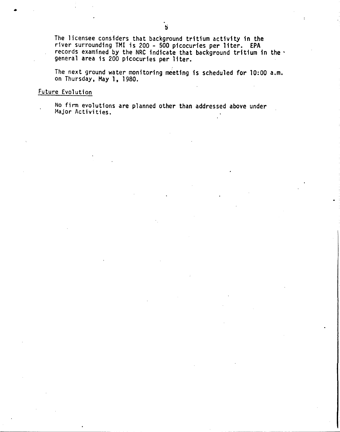The licensee considers that background tritium activity in the river surrounding TMI is 200 - 500 picocuries per liter. EPA records examined by the NRC indicate that background tritium in the' general area is 200 picocuries per liter.

The next ground water monitoring meeting is scheduled for 10:00 a.m. on Thursday, May 1, 1980.

## Future Evolution

•

No firm evolutions are planned other than addressed above under Major Activities.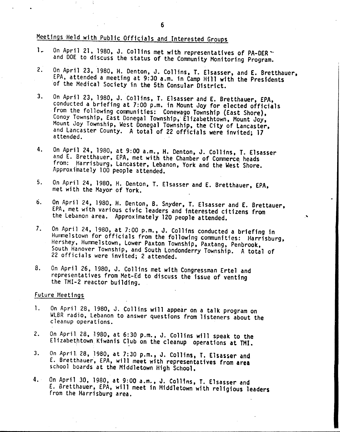# Meetings 'Held with Public Officials and Interested Groups

- 1. On April 21, 1980, J. Collins met with representatives of PA-DER . and DOE to discuss the status of the Community Monitoring Program.
- 2. On April 23, 1980. H. Denton, J. Collins, T. Elsasser, and E. Bretthauer, EPA, attended a meeting at 9:30 a.m. in Camp Hill with the Presidents of the Medical Society in the 5th Consular District.
- 3. On April 23, 1980, J. Collins, T. Elsasser and E. Bretthauer, EPA, conducted a briefing at 7:00 p.m. in Mount Joy for elected officials from the following conmunities: Conewago Township (East Shore), Conoy Township, East Donegal Township,' Elizabethtown, Mount Joy, Mount Joy Township, West Donegal Township, the City of Lancaster, and Lancaster County. A total of 22 officials were invited; 17 attended.
- 4. On April 24, 1980, at 9:00 a.m., H. Denton, J. Collins, T. Elsasser and E. Bretthauer, EPA, met with the Chamber of Commerce heads from: Harrisburg, Lancaster, Lebanon, York and the West Shore. Approximately 100 people attended.
- 5. On April 24. 1980. H. Denton, T. Elsasser and E. Bretthauer, EPA, met with the Mayor of York.
- 6. On April 24, 1980, H. Denton, B. Snyder, T. Elsasser and E. Brettauer, EPA. met with various civic leaders and interested citizens from the Lebanon area. Approximately 120 people attended.

..•.

- 7. On April 24, 1980, at 7:00 p.m., J. Collins conducted a briefing in Hunme1stown for officials from the following communities: Harrisburg, Hershey. Hummelstown, Lower Paxton Township, Paxtang, Penbrook, South Hanover Township, and South Londonderry Township. A total of 22 officials were invited; 2 attended.
- 8. On April 26, 1980, J. Collins met with Congressman Ertel and representatives from Met-Ed to discuss the issue of venting the TMI-2 reactor building.

#### Future Meetings

- 1. On April 28, 1980, J. Collins will appear on a talk program on WLBR radio, Lebanon to answer questions from listeners about the cleanup operations.
- 2. On April 28, 1980, at 6:30 p.m., J. Collins will speak to the Elizabethtown Kiwanis Club on the cleanup operations at TMI.
- 3. On April 28, 1980, at 7:30 p.m., J. Collins, T. Elsasser and E. Bretthauer, EPA, will meet with representatives from area school boards at the Middletown High SChool.
- 4. On April 30, 1980, at 9:00 a.m., J. ColHns, T. Elsasser and E. Bretthauer. EPA, will meet in Middletown with religious leaders from the Harrisburg area.